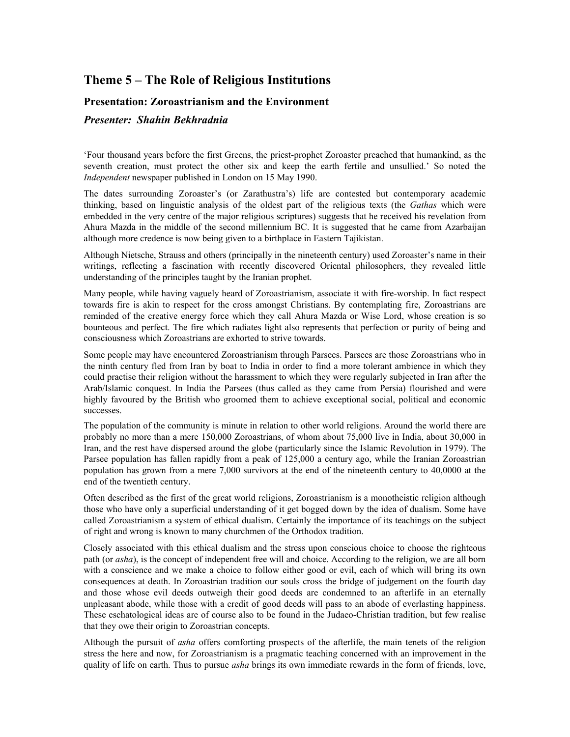## **Theme 5 – The Role of Religious Institutions**

## **Presentation: Zoroastrianism and the Environment**

## *Presenter: Shahin Bekhradnia*

'Four thousand years before the first Greens, the priest-prophet Zoroaster preached that humankind, as the seventh creation, must protect the other six and keep the earth fertile and unsullied.' So noted the *Independent* newspaper published in London on 15 May 1990.

The dates surrounding Zoroaster's (or Zarathustra's) life are contested but contemporary academic thinking, based on linguistic analysis of the oldest part of the religious texts (the *Gathas* which were embedded in the very centre of the major religious scriptures) suggests that he received his revelation from Ahura Mazda in the middle of the second millennium BC. It is suggested that he came from Azarbaijan although more credence is now being given to a birthplace in Eastern Tajikistan.

Although Nietsche, Strauss and others (principally in the nineteenth century) used Zoroaster's name in their writings, reflecting a fascination with recently discovered Oriental philosophers, they revealed little understanding of the principles taught by the Iranian prophet.

Many people, while having vaguely heard of Zoroastrianism, associate it with fire-worship. In fact respect towards fire is akin to respect for the cross amongst Christians. By contemplating fire, Zoroastrians are reminded of the creative energy force which they call Ahura Mazda or Wise Lord, whose creation is so bounteous and perfect. The fire which radiates light also represents that perfection or purity of being and consciousness which Zoroastrians are exhorted to strive towards.

Some people may have encountered Zoroastrianism through Parsees. Parsees are those Zoroastrians who in the ninth century fled from Iran by boat to India in order to find a more tolerant ambience in which they could practise their religion without the harassment to which they were regularly subjected in Iran after the Arab/Islamic conquest. In India the Parsees (thus called as they came from Persia) flourished and were highly favoured by the British who groomed them to achieve exceptional social, political and economic successes.

The population of the community is minute in relation to other world religions. Around the world there are probably no more than a mere 150,000 Zoroastrians, of whom about 75,000 live in India, about 30,000 in Iran, and the rest have dispersed around the globe (particularly since the Islamic Revolution in 1979). The Parsee population has fallen rapidly from a peak of 125,000 a century ago, while the Iranian Zoroastrian population has grown from a mere 7,000 survivors at the end of the nineteenth century to 40,0000 at the end of the twentieth century.

Often described as the first of the great world religions, Zoroastrianism is a monotheistic religion although those who have only a superficial understanding of it get bogged down by the idea of dualism. Some have called Zoroastrianism a system of ethical dualism. Certainly the importance of its teachings on the subject of right and wrong is known to many churchmen of the Orthodox tradition.

Closely associated with this ethical dualism and the stress upon conscious choice to choose the righteous path (or *asha*), is the concept of independent free will and choice. According to the religion, we are all born with a conscience and we make a choice to follow either good or evil, each of which will bring its own consequences at death. In Zoroastrian tradition our souls cross the bridge of judgement on the fourth day and those whose evil deeds outweigh their good deeds are condemned to an afterlife in an eternally unpleasant abode, while those with a credit of good deeds will pass to an abode of everlasting happiness. These eschatological ideas are of course also to be found in the Judaeo-Christian tradition, but few realise that they owe their origin to Zoroastrian concepts.

Although the pursuit of *asha* offers comforting prospects of the afterlife, the main tenets of the religion stress the here and now, for Zoroastrianism is a pragmatic teaching concerned with an improvement in the quality of life on earth. Thus to pursue *asha* brings its own immediate rewards in the form of friends, love,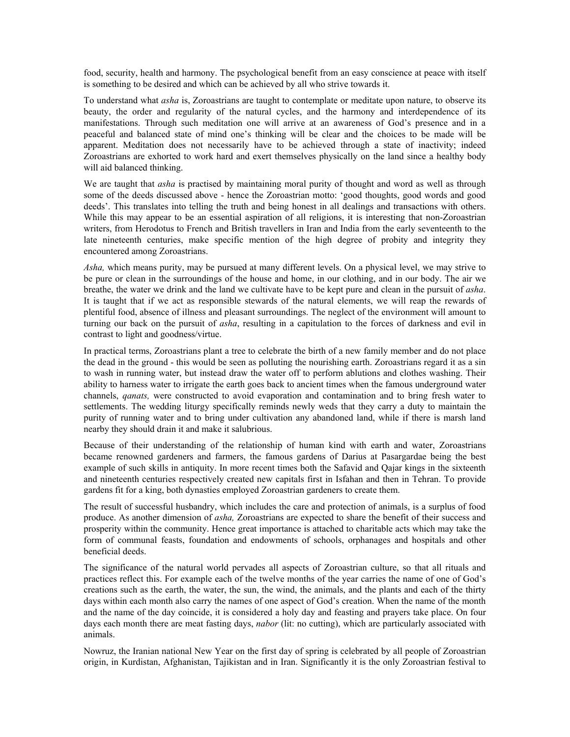food, security, health and harmony. The psychological benefit from an easy conscience at peace with itself is something to be desired and which can be achieved by all who strive towards it.

To understand what *asha* is, Zoroastrians are taught to contemplate or meditate upon nature, to observe its beauty, the order and regularity of the natural cycles, and the harmony and interdependence of its manifestations. Through such meditation one will arrive at an awareness of God's presence and in a peaceful and balanced state of mind one's thinking will be clear and the choices to be made will be apparent. Meditation does not necessarily have to be achieved through a state of inactivity; indeed Zoroastrians are exhorted to work hard and exert themselves physically on the land since a healthy body will aid balanced thinking.

We are taught that *asha* is practised by maintaining moral purity of thought and word as well as through some of the deeds discussed above - hence the Zoroastrian motto: 'good thoughts, good words and good deeds'. This translates into telling the truth and being honest in all dealings and transactions with others. While this may appear to be an essential aspiration of all religions, it is interesting that non-Zoroastrian writers, from Herodotus to French and British travellers in Iran and India from the early seventeenth to the late nineteenth centuries, make specific mention of the high degree of probity and integrity they encountered among Zoroastrians.

*Asha,* which means purity, may be pursued at many different levels. On a physical level, we may strive to be pure or clean in the surroundings of the house and home, in our clothing, and in our body. The air we breathe, the water we drink and the land we cultivate have to be kept pure and clean in the pursuit of *asha*. It is taught that if we act as responsible stewards of the natural elements, we will reap the rewards of plentiful food, absence of illness and pleasant surroundings. The neglect of the environment will amount to turning our back on the pursuit of *asha*, resulting in a capitulation to the forces of darkness and evil in contrast to light and goodness/virtue.

In practical terms, Zoroastrians plant a tree to celebrate the birth of a new family member and do not place the dead in the ground - this would be seen as polluting the nourishing earth. Zoroastrians regard it as a sin to wash in running water, but instead draw the water off to perform ablutions and clothes washing. Their ability to harness water to irrigate the earth goes back to ancient times when the famous underground water channels, *qanats,* were constructed to avoid evaporation and contamination and to bring fresh water to settlements. The wedding liturgy specifically reminds newly weds that they carry a duty to maintain the purity of running water and to bring under cultivation any abandoned land, while if there is marsh land nearby they should drain it and make it salubrious.

Because of their understanding of the relationship of human kind with earth and water, Zoroastrians became renowned gardeners and farmers, the famous gardens of Darius at Pasargardae being the best example of such skills in antiquity. In more recent times both the Safavid and Qajar kings in the sixteenth and nineteenth centuries respectively created new capitals first in Isfahan and then in Tehran. To provide gardens fit for a king, both dynasties employed Zoroastrian gardeners to create them.

The result of successful husbandry, which includes the care and protection of animals, is a surplus of food produce. As another dimension of *asha,* Zoroastrians are expected to share the benefit of their success and prosperity within the community. Hence great importance is attached to charitable acts which may take the form of communal feasts, foundation and endowments of schools, orphanages and hospitals and other beneficial deeds.

The significance of the natural world pervades all aspects of Zoroastrian culture, so that all rituals and practices reflect this. For example each of the twelve months of the year carries the name of one of God's creations such as the earth, the water, the sun, the wind, the animals, and the plants and each of the thirty days within each month also carry the names of one aspect of God's creation. When the name of the month and the name of the day coincide, it is considered a holy day and feasting and prayers take place. On four days each month there are meat fasting days, *nabor* (lit: no cutting), which are particularly associated with animals.

Nowruz, the Iranian national New Year on the first day of spring is celebrated by all people of Zoroastrian origin, in Kurdistan, Afghanistan, Tajikistan and in Iran. Significantly it is the only Zoroastrian festival to